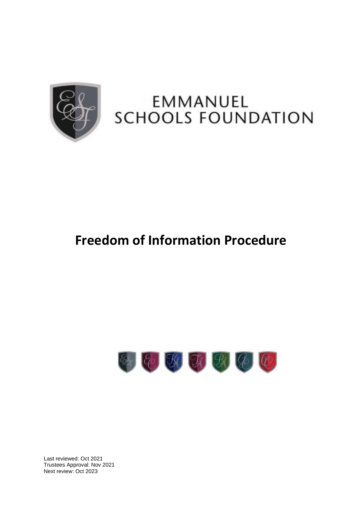

# EMMANUEL SCHOOLS FOUNDATION

# **Freedom of Information Procedure**



Last reviewed: Oct 2021 Trustees Approval: Nov 2021 Next review: Oct 2023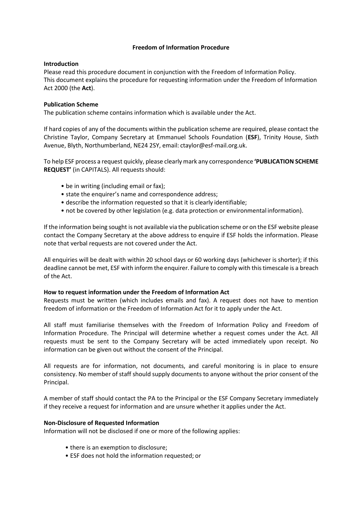#### **Freedom of Information Procedure**

#### **Introduction**

Please read this procedure document in conjunction with the Freedom of Information Policy. This document explains the procedure for requesting information under the Freedom of Information Act 2000 (the **Act**).

## **Publication Scheme**

The publication scheme contains information which is available under the Act.

If hard copies of any of the documents within the publication scheme are required, please contact the Christine Taylor, Company Secretary at Emmanuel Schools Foundation (**ESF**), Trinity House, Sixth Avenue, Blyth, Northumberland, NE24 2SY, email: [ctaylor@esf-mail.org.uk.](mailto:ctaylor@esf-mail.org.uk)

To help ESF process a request quickly, please clearly mark any correspondence **'PUBLICATION SCHEME REQUEST'** (in CAPITALS). All requests should:

- be in writing (including email or fax);
- state the enquirer's name and correspondence address;
- describe the information requested so that it is clearly identifiable;
- not be covered by other legislation (e.g. data protection or environmental information).

If the information being sought is not available via the publication scheme or on the ESF website please contact the Company Secretary at the above address to enquire if ESF holds the information. Please note that verbal requests are not covered under the Act.

All enquiries will be dealt with within 20 school days or 60 working days (whichever is shorter); if this deadline cannot be met, ESF with inform the enquirer. Failure to comply with thistimescale is a breach of the Act.

#### **How to request information under the Freedom of Information Act**

Requests must be written (which includes emails and fax). A request does not have to mention freedom of information or the Freedom of Information Act for it to apply under the Act.

All staff must familiarise themselves with the Freedom of Information Policy and Freedom of Information Procedure. The Principal will determine whether a request comes under the Act. All requests must be sent to the Company Secretary will be acted immediately upon receipt. No information can be given out without the consent of the Principal.

All requests are for information, not documents, and careful monitoring is in place to ensure consistency. No member of staff should supply documents to anyone without the prior consent of the Principal.

A member of staff should contact the PA to the Principal or the ESF Company Secretary immediately if they receive a request for information and are unsure whether it applies under the Act.

#### **Non-Disclosure of Requested Information**

Information will not be disclosed if one or more of the following applies:

- there is an exemption to disclosure;
- ESF does not hold the information requested; or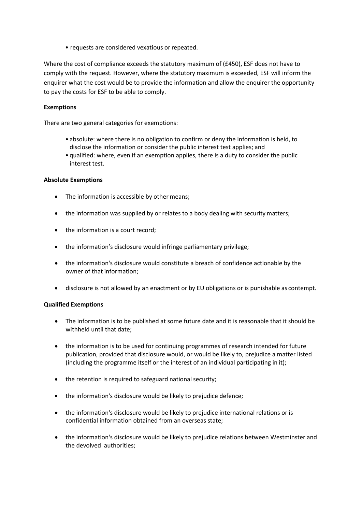• requests are considered vexatious or repeated.

Where the cost of compliance exceeds the statutory maximum of (£450), ESF does not have to comply with the request. However, where the statutory maximum is exceeded, ESF will inform the enquirer what the cost would be to provide the information and allow the enquirer the opportunity to pay the costs for ESF to be able to comply.

## **Exemptions**

There are two general categories for exemptions:

- absolute: where there is no obligation to confirm or deny the information is held, to disclose the information or consider the public interest test applies; and
- qualified: where, even if an exemption applies, there is a duty to consider the public interest test.

#### **Absolute Exemptions**

- The information is accessible by other means;
- the information was supplied by or relates to a body dealing with security matters;
- the information is a court record;
- the information's disclosure would infringe parliamentary privilege;
- the information's disclosure would constitute a breach of confidence actionable by the owner of that information;
- disclosure is not allowed by an enactment or by EU obligations or is punishable as contempt.

#### **Qualified Exemptions**

- The information is to be published at some future date and it is reasonable that it should be withheld until that date;
- the information is to be used for continuing programmes of research intended for future publication, provided that disclosure would, or would be likely to, prejudice a matter listed (including the programme itself or the interest of an individual participating in it);
- the retention is required to safeguard national security;
- the information's disclosure would be likely to prejudice defence;
- the information's disclosure would be likely to prejudice international relations or is confidential information obtained from an overseas state;
- the information's disclosure would be likely to prejudice relations between Westminster and the devolved authorities;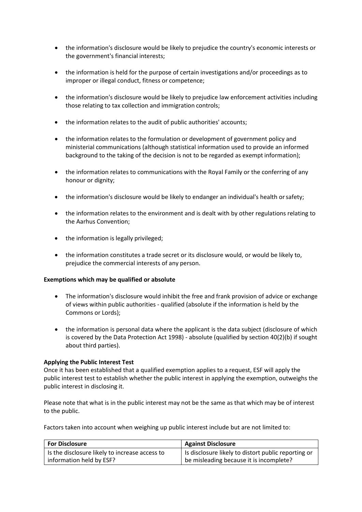- the information's disclosure would be likely to prejudice the country's economic interests or the government's financial interests;
- the information is held for the purpose of certain investigations and/or proceedings as to improper or illegal conduct, fitness or competence;
- the information's disclosure would be likely to prejudice law enforcement activities including those relating to tax collection and immigration controls;
- the information relates to the audit of public authorities' accounts;
- the information relates to the formulation or development of government policy and ministerial communications (although statistical information used to provide an informed background to the taking of the decision is not to be regarded as exempt information);
- the information relates to communications with the Royal Family or the conferring of any honour or dignity;
- the information's disclosure would be likely to endanger an individual's health orsafety;
- the information relates to the environment and is dealt with by other regulations relating to the Aarhus Convention;
- the information is legally privileged;
- the information constitutes a trade secret or its disclosure would, or would be likely to, prejudice the commercial interests of any person.

#### **Exemptions which may be qualified or absolute**

- The information's disclosure would inhibit the free and frank provision of advice or exchange of views within public authorities - qualified (absolute if the information is held by the Commons or Lords);
- the information is personal data where the applicant is the data subject (disclosure of which is covered by the Data Protection Act 1998) - absolute (qualified by section 40(2)(b) if sought about third parties).

#### **Applying the Public Interest Test**

Once it has been established that a qualified exemption applies to a request, ESF will apply the public interest test to establish whether the public interest in applying the exemption, outweighs the public interest in disclosing it.

Please note that what is in the public interest may not be the same as that which may be of interest to the public.

Factors taken into account when weighing up public interest include but are not limited to:

| <b>For Disclosure</b>                          | <b>Against Disclosure</b>                           |
|------------------------------------------------|-----------------------------------------------------|
| Is the disclosure likely to increase access to | Is disclosure likely to distort public reporting or |
| information held by ESF?                       | be misleading because it is incomplete?             |